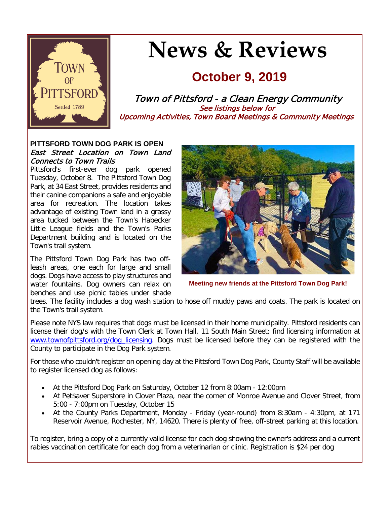

# **News & Reviews**

## **October 9, 2019**

Town of Pittsford - a Clean Energy Community See listings below for Upcoming Activities, Town Board Meetings & Community Meetings

#### **PITTSFORD TOWN DOG PARK IS OPEN** East Street Location on Town Land Connects to Town Trails

Pittsford's first-ever dog park opened Tuesday, October 8. The Pittsford Town Dog Park, at 34 East Street, provides residents and their canine companions a safe and enjoyable area for recreation. The location takes advantage of existing Town land in a grassy area tucked between the Town's Habecker Little League fields and the Town's Parks Department building and is located on the Town's trail system.

The Pittsford Town Dog Park has two offleash areas, one each for large and small dogs. Dogs have access to play structures and water fountains. Dog owners can relax on benches and use picnic tables under shade



**Meeting new friends at the Pittsford Town Dog Park!**

trees. The facility includes a dog wash station to hose off muddy paws and coats. The park is located on the Town's trail system.

Please note NYS law requires that dogs must be licensed in their home municipality. Pittsford residents can license their dog/s with the Town Clerk at Town Hall, 11 South Main Street; find licensing information at [www.townofpittsford.org/dog\\_licensing.](http://r20.rs6.net/tn.jsp?f=001DBxDkasaSHam4oJdk_50StwUlAkxfLFOvyqObRcDbmaR2Hu_RqdH99wjaPKCfZhE3et2RVTblIqmmh16bZxy2BTAvuv5ZIEpHKqpfAURH4QXbMHXxtmSR-XhfbfjlXAG0S2qL4yK3Oihfu_yL5NPK_3IUx87xyec45JbviBcx9xrsD5VoGptd9epeuoYZ7pJ17MQ_1SdptCiP9pLr3rJagEycdh4xr28D7Ve9peVPyVo89pamxYyoGPS78FI23wXRTQgQekyyy6ER-CsJ_kdBbmrH4itFmj515MOzg8WSUZUjDbd7hFSZRQcGn8jU59L&c=VQ_WaMRyZYbiiBhvb7badWmj2dUCpKpfFLgI1-kwM7qtbylPgb5bxg==&ch=uE-m0aRylKbKoZRwanW0mSTf5LE0Ptwve9ibkvdNDNpOEiQyrLbe4Q==) Dogs must be licensed before they can be registered with the County to participate in the Dog Park system.

For those who couldn't register on opening day at the Pittsford Town Dog Park, County Staff will be available to register licensed dog as follows:

- At the Pittsford Dog Park on Saturday, October 12 from 8:00am 12:00pm
- At Pet\$aver Superstore in Clover Plaza, near the corner of Monroe Avenue and Clover Street, from 5:00 - 7:00pm on Tuesday, October 15
- At the County Parks Department, Monday Friday (year-round) from 8:30am 4:30pm, at 171 Reservoir Avenue, Rochester, NY, 14620. There is plenty of free, off-street parking at this location.

To register, bring a copy of a currently valid license for each dog showing the owner's address and a current rabies vaccination certificate for each dog from a veterinarian or clinic. Registration is \$24 per dog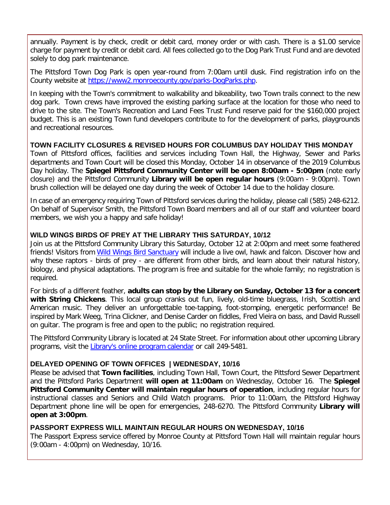annually. Payment is by check, credit or debit card, money order or with cash. There is a \$1.00 service charge for payment by credit or debit card. All fees collected go to the Dog Park Trust Fund and are devoted solely to dog park maintenance.

The Pittsford Town Dog Park is open year-round from 7:00am until dusk. Find registration info on the County website at [https://www2.monroecounty.gov/parks-DogParks.php.](http://r20.rs6.net/tn.jsp?f=001DBxDkasaSHam4oJdk_50StwUlAkxfLFOvyqObRcDbmaR2Hu_RqdH99wjaPKCfZhECMWCVy7MxsBvHNPICfwLdSHXXRBqMO4CzRLg4rEwO_g5CSTCTvywnllzePvRXjHuep2gCvUZe2k5gJYS9ikfYwOZYeOwdSSN2c2zcVBJsu7wb2PswzKelyy0HYvZOIfC65BvAk0czQNtcZjtfW3T6YpaxT8C8uBHHaU856jCskV2R7o6TJTSMbRMdI2j_m8lMXH1ISKd3i9W4CkAdPUCCGejWmuqgbmeus7CCteTwTqvbDhdXbH1HAzs6FHmZD1m&c=VQ_WaMRyZYbiiBhvb7badWmj2dUCpKpfFLgI1-kwM7qtbylPgb5bxg==&ch=uE-m0aRylKbKoZRwanW0mSTf5LE0Ptwve9ibkvdNDNpOEiQyrLbe4Q==)

In keeping with the Town's commitment to walkability and bikeability, two Town trails connect to the new dog park. Town crews have improved the existing parking surface at the location for those who need to drive to the site. The Town's Recreation and Land Fees Trust Fund reserve paid for the \$160,000 project budget. This is an existing Town fund developers contribute to for the development of parks, playgrounds and recreational resources.

#### **TOWN FACILITY CLOSURES & REVISED HOURS FOR COLUMBUS DAY HOLIDAY THIS MONDAY**

Town of Pittsford offices, facilities and services including Town Hall, the Highway, Sewer and Parks departments and Town Court will be closed this Monday, October 14 in observance of the 2019 Columbus Day holiday. The **Spiegel Pittsford Community Center will be open 8:00am - 5:00pm** (note early closure) and the Pittsford Community **Library will be open regular hours** (9:00am - 9:00pm). Town brush collection will be delayed one day during the week of October 14 due to the holiday closure.

In case of an emergency requiring Town of Pittsford services during the holiday, please call (585) 248-6212. On behalf of Supervisor Smith, the Pittsford Town Board members and all of our staff and volunteer board members, we wish you a happy and safe holiday!

#### **WILD WINGS BIRDS OF PREY AT THE LIBRARY THIS SATURDAY, 10/12**

Join us at the Pittsford Community Library this Saturday, October 12 at 2:00pm and meet some feathered friends! Visitors from [Wild Wings Bird Sanctuary](http://r20.rs6.net/tn.jsp?f=001DBxDkasaSHam4oJdk_50StwUlAkxfLFOvyqObRcDbmaR2Hu_RqdH9_Mj7AYvKExbk3Kgcy313k4tYLnhVDCrMWNrnutrFK9IfTsKhrELd3YM8DmoEFdPoGdVIaP1DmXKPKW9H5dx223dfaFRnFGbPBZ3rQ8L2Za0kvj1Y1i8iKLnSE2F-hawC2JOvJtc8bVI1NzhrmAsEPRbVivg2-fFYAsg_MMxE08z665HOzPSfzP1wIdu4WqonQiPCjNs28NZrtpCpKmpDCiaEDNVHMsFOYvXWDc2IQsGfO6aejpF0sc=&c=VQ_WaMRyZYbiiBhvb7badWmj2dUCpKpfFLgI1-kwM7qtbylPgb5bxg==&ch=uE-m0aRylKbKoZRwanW0mSTf5LE0Ptwve9ibkvdNDNpOEiQyrLbe4Q==) will include a live owl, hawk and falcon. Discover how and why these raptors - birds of prey - are different from other birds, and learn about their natural history, biology, and physical adaptations. The program is free and suitable for the whole family; no registration is required.

For birds of a different feather, **adults can stop by the Library on Sunday, October 13 for a concert with String Chickens**. This local group cranks out fun, lively, old-time bluegrass, Irish, Scottish and American music. They deliver an unforgettable toe-tapping, foot-stomping, energetic performance! Be inspired by Mark Weeg, Trina Clickner, and Denise Carder on fiddles, Fred Vieira on bass, and David Russell on guitar. The program is free and open to the public; no registration required.

The Pittsford Community Library is located at 24 State Street. For information about other upcoming Library programs, visit the [Library's online program calendar](http://r20.rs6.net/tn.jsp?f=001DBxDkasaSHam4oJdk_50StwUlAkxfLFOvyqObRcDbmaR2Hu_RqdH9yIeOsC2xwC6DobvwuaVZl6y3UAxdTw0fuc2f8VgNxeY5xkVCm5aPOR5USy9bjYBDscGi2B5nnUzU8WE0w4HPZ8baARYvk3iHyQYWUtTmLYWFz5XvowpuIzmopLgSdKwXiYFz62xiHiVhW6QXoiid-heO5cPmtEVItZgm5Yhyd0VNlHSli_8507sClzvI7uh3cr9Mns-zdFvpGHoRc_Ed8iuuE2dCx15rGlQOmQkjBFyK2l1yIowqLFdhRtj47Qj1WjKiZRlErWIbXU2gCi5v2CrGKBGkgKODpztfgte1-y2e5Ppee9i3Z0Wy5CPod4l8904k8HM36qvqaVR0eQutTSHyXY5rqjla6RNyqK9JLUT&c=VQ_WaMRyZYbiiBhvb7badWmj2dUCpKpfFLgI1-kwM7qtbylPgb5bxg==&ch=uE-m0aRylKbKoZRwanW0mSTf5LE0Ptwve9ibkvdNDNpOEiQyrLbe4Q==) or call 249-5481.

#### **DELAYED OPENING OF TOWN OFFICES | WEDNESDAY, 10/16**

Please be advised that **Town facilities**, including Town Hall, Town Court, the Pittsford Sewer Department and the Pittsford Parks Department **will open at 11:00am** on Wednesday, October 16. The **Spiegel Pittsford Community Center will maintain regular hours of operation**, including regular hours for instructional classes and Seniors and Child Watch programs. Prior to 11:00am, the Pittsford Highway Department phone line will be open for emergencies, 248-6270. The Pittsford Community **Library will open at 3:00pm**.

#### **PASSPORT EXPRESS WILL MAINTAIN REGULAR HOURS ON WEDNESDAY, 10/16**

The Passport Express service offered by Monroe County at Pittsford Town Hall will maintain regular hours (9:00am - 4:00pm) on Wednesday, 10/16.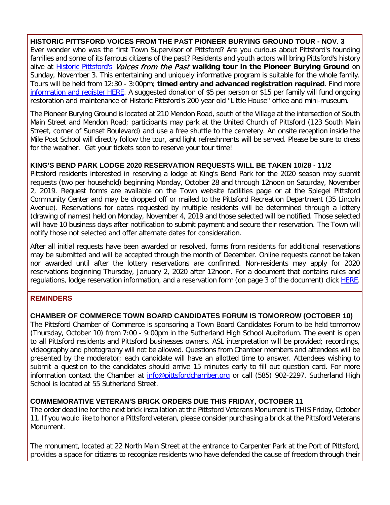**HISTORIC PITTSFORD VOICES FROM THE PAST PIONEER BURYING GROUND TOUR - NOV. 3** Ever wonder who was the first Town Supervisor of Pittsford? Are you curious about Pittsford's founding families and some of its famous citizens of the past? Residents and youth actors will bring Pittsford's history alive at [Historic Pittsford's](http://r20.rs6.net/tn.jsp?f=001DBxDkasaSHam4oJdk_50StwUlAkxfLFOvyqObRcDbmaR2Hu_RqdH99fD_EtrM7WAR2OMmfnvi1MDPTzPXjyeuO8QaOZMDnXUobQL6BP5SJbLU7Qp-x3X_H69cIBF54vz1y3JDrqGzYuVFxxc5TjVB8QGWe3yk8_dSyzvhaN5-lFOgOh94kD6F0G5cS-tl2hAMFQBU5KzrJjzdpLdj1K9K5xS2cHapMF0HR-dFTM-OlYOUvIuGLxFU-97y26AqnenGZllTCCmp6xl89KvI_a0iws3xmnJG-64o5_MToRPQPQ=&c=VQ_WaMRyZYbiiBhvb7badWmj2dUCpKpfFLgI1-kwM7qtbylPgb5bxg==&ch=uE-m0aRylKbKoZRwanW0mSTf5LE0Ptwve9ibkvdNDNpOEiQyrLbe4Q==) Voices from the Past **walking tour in the Pioneer Burying Ground** on Sunday, November 3. This entertaining and uniquely informative program is suitable for the whole family. Tours will be held from 12:30 - 3:00pm; **timed entry and advanced registration required**. Find more [information and register HERE.](http://r20.rs6.net/tn.jsp?f=001DBxDkasaSHam4oJdk_50StwUlAkxfLFOvyqObRcDbmaR2Hu_RqdH99wjaPKCfZhEGqZcebM2Egj4qD1mFhsLCw7HBUgIREFi2Yx8TtQFxle4wAlmP8bC57noJ8mnW2SjEXYbhA5v2yo4mPz6rIo0JEmmWhBmtOhKRy7qdR1xiCsuJ48xwsF-lelsAVOka2cbUjn3UOcREj3BJH168DOLMgvRqMfjXOtmXDyTPftBJ480SHPSf8MY8O340O2wjw0pA2nRxGJScEPljz2TmTahkpgS6BLxQhSHZJKV7ZSMw9h7rZSCMeeRCEsJ5pJTijA7ZBBlCO1EnFYNO1FoakdRYjnpAlBFMWWEJCWKBHZpo3T2kYh3VqVQR__k_EaYkmvNZNRQczg5RQLdm8qWu8Huu3__oowyD1sBPWhFszTtA2cWIJjE08JEsIiDQVI84pRt750UEis-b_vfY3BhgrQWA5u8--EllOpoJne45Cu-yBEZjggm0jPdQQ==&c=VQ_WaMRyZYbiiBhvb7badWmj2dUCpKpfFLgI1-kwM7qtbylPgb5bxg==&ch=uE-m0aRylKbKoZRwanW0mSTf5LE0Ptwve9ibkvdNDNpOEiQyrLbe4Q==) A suggested donation of \$5 per person or \$15 per family will fund ongoing restoration and maintenance of Historic Pittsford's 200 year old "Little House" office and mini-museum.

The Pioneer Burying Ground is located at 210 Mendon Road, south of the Village at the intersection of South Main Street and Mendon Road; participants may park at the United Church of Pittsford (123 South Main Street, corner of Sunset Boulevard) and use a free shuttle to the cemetery. An onsite reception inside the Mile Post School will directly follow the tour, and light refreshments will be served. Please be sure to dress for the weather. Get your tickets soon to reserve your tour time!

#### **KING'S BEND PARK LODGE 2020 RESERVATION REQUESTS WILL BE TAKEN 10/28 - 11/2**

Pittsford residents interested in reserving a lodge at King's Bend Park for the 2020 season may submit requests (two per household) beginning Monday, October 28 and through 12noon on Saturday, November 2, 2019. Request forms are available on the Town website facilities page or at the Spiegel Pittsford Community Center and may be dropped off or mailed to the Pittsford Recreation Department (35 Lincoln Avenue). Reservations for dates requested by multiple residents will be determined through a lottery (drawing of names) held on Monday, November 4, 2019 and those selected will be notified. Those selected will have 10 business days after notification to submit payment and secure their reservation. The Town will notify those not selected and offer alternate dates for consideration.

After all initial requests have been awarded or resolved, forms from residents for additional reservations may be submitted and will be accepted through the month of December. Online requests cannot be taken nor awarded until after the lottery reservations are confirmed. Non-residents may apply for 2020 reservations beginning Thursday, January 2, 2020 after 12noon. For a document that contains rules and regulations, lodge reservation information, and a reservation form (on page 3 of the document) click **HERE**.

#### **REMINDERS**

#### **CHAMBER OF COMMERCE TOWN BOARD CANDIDATES FORUM IS TOMORROW (OCTOBER 10)**

The Pittsford Chamber of Commerce is sponsoring a Town Board Candidates Forum to be held tomorrow (Thursday, October 10) from 7:00 - 9:00pm in the Sutherland High School Auditorium. The event is open to all Pittsford residents and Pittsford businesses owners. ASL interpretation will be provided; recordings, videography and photography will not be allowed. Questions from Chamber members and attendees will be presented by the moderator; each candidate will have an allotted time to answer. Attendees wishing to submit a question to the candidates should arrive 15 minutes early to fill out question card. For more information contact the Chamber at [info@pittsfordchamber.org](mailto:info@pittsfordchamber.org?subject=Chamber%20Town%20Board%20Candidates%20Forum) or call (585) 902-2297. Sutherland High School is located at 55 Sutherland Street.

#### **COMMEMORATIVE VETERAN'S BRICK ORDERS DUE THIS FRIDAY, OCTOBER 11**

The order deadline for the next brick installation at the Pittsford Veterans Monument is THIS Friday, October 11. If you would like to honor a Pittsford veteran, please consider purchasing a brick at the Pittsford Veterans Monument.

The monument, located at 22 North Main Street at the entrance to Carpenter Park at the Port of Pittsford, provides a space for citizens to recognize residents who have defended the cause of freedom through their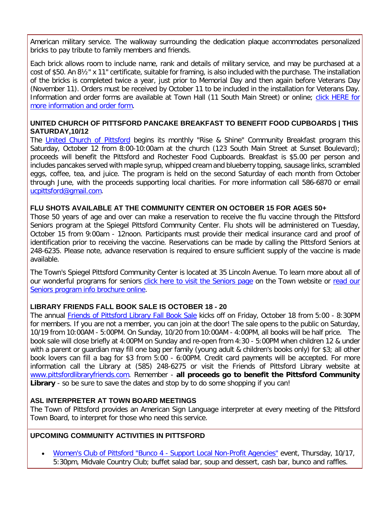American military service. The walkway surrounding the dedication plaque accommodates personalized bricks to pay tribute to family members and friends.

Each brick allows room to include name, rank and details of military service, and may be purchased at a cost of \$50. An 8½" x 11" certificate, suitable for framing, is also included with the purchase. The installation of the bricks is completed twice a year, just prior to Memorial Day and then again before Veterans Day (November 11). Orders must be received by October 11 to be included in the installation for Veterans Day. Information and order forms are available at Town Hall (11 South Main Street) or online; [click HERE for](http://r20.rs6.net/tn.jsp?f=001DBxDkasaSHam4oJdk_50StwUlAkxfLFOvyqObRcDbmaR2Hu_RqdH90LVuOVDvbdfvmG9NmFHVsJabEzHe0se7FxUGJli1nLUHX-VhKuVrDzAlrEBV402m-Ac_tMXXOSgJaej05Eo5q3m0wRyQS2_QrKG98nprJbsZEboctqhNmY6QoHKrGvCH9HEAQPrNEDW2_219HalnKyDUNVIqnUU5xPoSyXZPgKpllegLvNrR0Khk67wrwW5k2semswnZ9sRIsANPnRbhREYBWxwEOUHVdukkkS7W2W41eN3eYOuhRUBT_34dIuesg==&c=VQ_WaMRyZYbiiBhvb7badWmj2dUCpKpfFLgI1-kwM7qtbylPgb5bxg==&ch=uE-m0aRylKbKoZRwanW0mSTf5LE0Ptwve9ibkvdNDNpOEiQyrLbe4Q==)  [more information and order form.](http://r20.rs6.net/tn.jsp?f=001DBxDkasaSHam4oJdk_50StwUlAkxfLFOvyqObRcDbmaR2Hu_RqdH90LVuOVDvbdfvmG9NmFHVsJabEzHe0se7FxUGJli1nLUHX-VhKuVrDzAlrEBV402m-Ac_tMXXOSgJaej05Eo5q3m0wRyQS2_QrKG98nprJbsZEboctqhNmY6QoHKrGvCH9HEAQPrNEDW2_219HalnKyDUNVIqnUU5xPoSyXZPgKpllegLvNrR0Khk67wrwW5k2semswnZ9sRIsANPnRbhREYBWxwEOUHVdukkkS7W2W41eN3eYOuhRUBT_34dIuesg==&c=VQ_WaMRyZYbiiBhvb7badWmj2dUCpKpfFLgI1-kwM7qtbylPgb5bxg==&ch=uE-m0aRylKbKoZRwanW0mSTf5LE0Ptwve9ibkvdNDNpOEiQyrLbe4Q==)

#### **UNITED CHURCH OF PITTSFORD PANCAKE BREAKFAST TO BENEFIT FOOD CUPBOARDS | THIS SATURDAY,10/12**

The [United Church of Pittsford](http://r20.rs6.net/tn.jsp?f=001DBxDkasaSHam4oJdk_50StwUlAkxfLFOvyqObRcDbmaR2Hu_RqdH93VfNNP6Nl7T-NNYCJ6PL4BMDNHwp0rRcM1JB2y99ADCR36tVy7h1RuUzKt0a9C_JMRhy72DluwsdS53PA1XfqTCA381fufU5OaeByat6KiTDBD8OMaOrzxmPoUm-WrYSb_97iB02qHPrOODATHFz36jwUJmd7G08rIgWZeuANzsgqJuuAHc7R2HSnmlSxr932uqUwaPQx7To37ZGn_cq6CFxBAJB86lzMRE1wVIJMT468ndzmgOTQM=&c=VQ_WaMRyZYbiiBhvb7badWmj2dUCpKpfFLgI1-kwM7qtbylPgb5bxg==&ch=uE-m0aRylKbKoZRwanW0mSTf5LE0Ptwve9ibkvdNDNpOEiQyrLbe4Q==) begins its monthly "Rise & Shine" Community Breakfast program this Saturday, October 12 from 8:00-10:00am at the church (123 South Main Street at Sunset Boulevard); proceeds will benefit the Pittsford and Rochester Food Cupboards. Breakfast is \$5.00 per person and includes pancakes served with maple syrup, whipped cream and blueberry topping, sausage links, scrambled eggs, coffee, tea, and juice. The program is held on the second Saturday of each month from October through June, with the proceeds supporting local charities. For more information call 586-6870 or email [ucpittsford@gmail.com.](mailto:ucpittsford@gmail.com?subject=Rise%20%26%20Shine%20Pancake%20Breakfast)

#### **FLU SHOTS AVAILABLE AT THE COMMUNITY CENTER ON OCTOBER 15 FOR AGES 50+**

Those 50 years of age and over can make a reservation to receive the flu vaccine through the Pittsford Seniors program at the Spiegel Pittsford Community Center. Flu shots will be administered on Tuesday, October 15 from 9:00am - 12noon. Participants must provide their medical insurance card and proof of identification prior to receiving the vaccine. Reservations can be made by calling the Pittsford Seniors at 248-6235. Please note, advance reservation is required to ensure sufficient supply of the vaccine is made available.

The Town's Spiegel Pittsford Community Center is located at 35 Lincoln Avenue. To learn more about all of our wonderful programs for seniors [click here to visit the Seniors page](http://r20.rs6.net/tn.jsp?f=001DBxDkasaSHam4oJdk_50StwUlAkxfLFOvyqObRcDbmaR2Hu_RqdH90LVuOVDvbdf6CLenz27zMeod5u6r2WqJUesP9tpDZr_10ByBU7gq3gGr7pIDfgDhO8NqLdkiL2liyNRRjRx7eQxWVMJteVfrM5St11_nW9oeWAshUHiHWkq3UUFwgvbJODadSCQfEXNkfKYSUQVc-JV8aveHlEiS6mDAFLy7sQcONT_F2XOEOfU6QNwn1s0ruI-TZCR9cNClKDbD12rAKeIcFsTNmpuunyE5InUfYR0dneJrTj4oKZMPomBBhj5GI54gpuw3yqN&c=VQ_WaMRyZYbiiBhvb7badWmj2dUCpKpfFLgI1-kwM7qtbylPgb5bxg==&ch=uE-m0aRylKbKoZRwanW0mSTf5LE0Ptwve9ibkvdNDNpOEiQyrLbe4Q==) on the Town website or read our [Seniors program info brochure online.](http://r20.rs6.net/tn.jsp?f=001DBxDkasaSHam4oJdk_50StwUlAkxfLFOvyqObRcDbmaR2Hu_RqdH90IzZbXUA6ACIcGH3bVTyx9CPHDT3n-sj9ooFmUc-D90J-IPfoIYIMs12Y0I0GJLTmUL-milJF8HnF5aSqyeWQR2bJhSqECSsZWspiBcRxzNWH6HbJ9G216gzWpNW98-tqH1Yqlql32szlYdFWv7vUc__6awUEMfb_eG5HVa9Ew6oZtVKhfsVE9itGtRKoM3t0nbf8sslu98fkCk-odIOeYQhLdqbxCsX-aRdSOiuBn_iJhsWTkidLtP-uG7yNFIljVkoNzvxYJwTNo9KokxWuTou075thS2gbZI09mG41MtZH8r7SOjZuA=&c=VQ_WaMRyZYbiiBhvb7badWmj2dUCpKpfFLgI1-kwM7qtbylPgb5bxg==&ch=uE-m0aRylKbKoZRwanW0mSTf5LE0Ptwve9ibkvdNDNpOEiQyrLbe4Q==)

#### **LIBRARY FRIENDS FALL BOOK SALE IS OCTOBER 18 - 20**

The annual [Friends of Pittsford Library Fall Book Sale](http://r20.rs6.net/tn.jsp?f=001DBxDkasaSHam4oJdk_50StwUlAkxfLFOvyqObRcDbmaR2Hu_RqdH93a0n_3c9N7TTNdciwCcBsUP4exAEWNyqE4z3y8CgWrzhM7S3OnWIh5TWMAWeuf7Wym5cQSM5rvhFukudxhL0YO58EHkBteNrcLM5RjMiuD6gEztY905K_O8bRPhNBI9C-erxR41BMkuZMNiI6G_zyplq56-j54Nq9OXXkS2lHTJsvHMktIi_1ddDaRmdi56sztaR7jjpGeneg5KfIX-hk6ShxKKUU8dQAY0LAIus9RJYNG_NIXBdMzCLOz9t-VXrw==&c=VQ_WaMRyZYbiiBhvb7badWmj2dUCpKpfFLgI1-kwM7qtbylPgb5bxg==&ch=uE-m0aRylKbKoZRwanW0mSTf5LE0Ptwve9ibkvdNDNpOEiQyrLbe4Q==) kicks off on Friday, October 18 from 5:00 - 8:30PM for members. If you are not a member, you can join at the door! The sale opens to the public on Saturday, 10/19 from 10:00AM - 5:00PM. On Sunday, 10/20 from 10:00AM - 4:00PM, all books will be half price. The book sale will close briefly at 4:00PM on Sunday and re-open from 4:30 - 5:00PM when children 12 & under with a parent or guardian may fill one bag per family (young adult & children's books only) for \$3; all other book lovers can fill a bag for \$3 from 5:00 - 6:00PM. Credit card payments will be accepted. For more information call the Library at (585) 248-6275 or visit the Friends of Pittsford Library website at [www.pittsfordlibraryfriends.com.](http://r20.rs6.net/tn.jsp?f=001DBxDkasaSHam4oJdk_50StwUlAkxfLFOvyqObRcDbmaR2Hu_RqdH93VfNNP6Nl7TJwqNuq3YwMSon-PqPE_pQT3nhUyUspydc1KZgiLU6TA2Bki4xYpacngJIVvflu8AH-JNrjXppoHgquT9PSOa-i6QdKMQ4Y3pgTn561f4wOUu1eJudvKqi9gl6eXXkD5VzzruXOALICZ5o_4O1cpzKHuQMjMhZxftj38PQvYHRMj3csw2OBZyjMzohzRSy2b21i20YDaI2XzUJ4fEXkX8fKNjGt2z47ijIWfbO7Xyszi7eLc1TwaGQA==&c=VQ_WaMRyZYbiiBhvb7badWmj2dUCpKpfFLgI1-kwM7qtbylPgb5bxg==&ch=uE-m0aRylKbKoZRwanW0mSTf5LE0Ptwve9ibkvdNDNpOEiQyrLbe4Q==) Remember - **all proceeds go to benefit the Pittsford Community Library** - so be sure to save the dates and stop by to do some shopping if you can!

#### **ASL INTERPRETER AT TOWN BOARD MEETINGS**

The Town of Pittsford provides an American Sign Language interpreter at every meeting of the Pittsford Town Board, to interpret for those who need this service.

#### **UPCOMING COMMUNITY ACTIVITIES IN PITTSFORD**

• [Women's Club of Pittsford "Bunco 4 -](http://r20.rs6.net/tn.jsp?f=001DBxDkasaSHam4oJdk_50StwUlAkxfLFOvyqObRcDbmaR2Hu_RqdH9_JLR27pgUdElyW6u1C2CIDfLqtRboi5QmY20frebtqQE6dX4tEG03OK3-ARAY1cyRS69a5r12JhRflPVb2iEanSYQBIt-nPpGs-Vbbg8WVJGzpJ9zOKeR1FmgdDckM3VYNY17HivRQzXiJNmADSpTnGFcmLEs5i1VwJGt9fnaCpp6lRel2UXSBGMhrFyNQCs1hh9N-aHbaPt3sO3YzmumV7HLgcMJ27-EwxHwjgW8vH8WjHsWsLVsZ7mVmeqPGhLQ==&c=VQ_WaMRyZYbiiBhvb7badWmj2dUCpKpfFLgI1-kwM7qtbylPgb5bxg==&ch=uE-m0aRylKbKoZRwanW0mSTf5LE0Ptwve9ibkvdNDNpOEiQyrLbe4Q==) Support Local Non-Profit Agencies" event, Thursday, 10/17, 5:30pm, Midvale Country Club; buffet salad bar, soup and dessert, cash bar, bunco and raffles.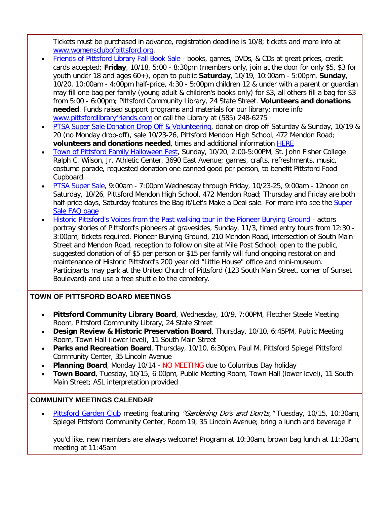Tickets must be purchased in advance, registration deadline is 10/8; tickets and more info at [www.womensclubofpittsford.org.](http://r20.rs6.net/tn.jsp?f=001DBxDkasaSHam4oJdk_50StwUlAkxfLFOvyqObRcDbmaR2Hu_RqdH9_JLR27pgUdElyW6u1C2CIDfLqtRboi5QmY20frebtqQE6dX4tEG03OK3-ARAY1cyRS69a5r12JhRflPVb2iEanSYQBIt-nPpGs-Vbbg8WVJGzpJ9zOKeR1FmgdDckM3VYNY17HivRQzXiJNmADSpTnGFcmLEs5i1VwJGt9fnaCpp6lRel2UXSBGMhrFyNQCs1hh9N-aHbaPt3sO3YzmumV7HLgcMJ27-EwxHwjgW8vH8WjHsWsLVsZ7mVmeqPGhLQ==&c=VQ_WaMRyZYbiiBhvb7badWmj2dUCpKpfFLgI1-kwM7qtbylPgb5bxg==&ch=uE-m0aRylKbKoZRwanW0mSTf5LE0Ptwve9ibkvdNDNpOEiQyrLbe4Q==)

- [Friends of Pittsford Library Fall Book Sale](http://r20.rs6.net/tn.jsp?f=001DBxDkasaSHam4oJdk_50StwUlAkxfLFOvyqObRcDbmaR2Hu_RqdH93VfNNP6Nl7TfZq9T1kaoYExj9J5p5wKBWmbL2fKcWPH5KFkfAEkM5K7GJRJ4LUl1zyIZ5XqzHoqGMVkQ71JSLEFz2RjwulcthZalaNhbj24GnXOMF6DElYdUScYRwrkdMmCLGYgqI4NE40PaT5QVr3lKlrtDXR-qeqkRZCjFfmirVPcV5k_gF8nxO7cxlrDgB4CNQlfENY2JTW15ErkWfcUOU1tYWRSt6QSfB68jS4BN279Vq2EYj9lTwIJWG5PqglF-pfRIJ9A&c=VQ_WaMRyZYbiiBhvb7badWmj2dUCpKpfFLgI1-kwM7qtbylPgb5bxg==&ch=uE-m0aRylKbKoZRwanW0mSTf5LE0Ptwve9ibkvdNDNpOEiQyrLbe4Q==) books, games, DVDs, & CDs at great prices, credit cards accepted; **Friday**, 10/18, 5:00 - 8:30pm (members only, join at the door for only \$5, \$3 for youth under 18 and ages 60+), open to public **Saturday**, 10/19, 10:00am - 5:00pm, **Sunday**, 10/20, 10:00am - 4:00pm half-price, 4:30 - 5:00pm children 12 & under with a parent or guardian may fill one bag per family (young adult & children's books only) for \$3, all others fill a bag for \$3 from 5:00 - 6:00pm; Pittsford Community Library, 24 State Street. **Volunteers and donations needed**. Funds raised support programs and materials for our library; more info [www.pittsfordlibraryfriends.com](http://r20.rs6.net/tn.jsp?f=001DBxDkasaSHam4oJdk_50StwUlAkxfLFOvyqObRcDbmaR2Hu_RqdH93VfNNP6Nl7TJwqNuq3YwMSon-PqPE_pQT3nhUyUspydc1KZgiLU6TA2Bki4xYpacngJIVvflu8AH-JNrjXppoHgquT9PSOa-i6QdKMQ4Y3pgTn561f4wOUu1eJudvKqi9gl6eXXkD5VzzruXOALICZ5o_4O1cpzKHuQMjMhZxftj38PQvYHRMj3csw2OBZyjMzohzRSy2b21i20YDaI2XzUJ4fEXkX8fKNjGt2z47ijIWfbO7Xyszi7eLc1TwaGQA==&c=VQ_WaMRyZYbiiBhvb7badWmj2dUCpKpfFLgI1-kwM7qtbylPgb5bxg==&ch=uE-m0aRylKbKoZRwanW0mSTf5LE0Ptwve9ibkvdNDNpOEiQyrLbe4Q==) or call the Library at (585) 248-6275
- [PTSA Super Sale Donation Drop Off & Volunteering,](http://r20.rs6.net/tn.jsp?f=001DBxDkasaSHam4oJdk_50StwUlAkxfLFOvyqObRcDbmaR2Hu_RqdH90aNrXsVNWdInmd1tVDTnecDUBXVrYIN7gfcr2eSqWTqQ4p1myf7QGqCvLRqtvz7NwDrZ9l-9wVCsEEmshr4Rp_wI1peeWBr1p_AYDJwEYyGWljeHnpvL954D5nsKl3ulkqkzm4XDbFyEGcpdKYYKHYOsr3eQrDcwihIT5mRZm690TpRkou9_PoW4vLacb56xQ5GRf5WDfGENCJC1J5pdqxY3dTe7ibquFycoNDdhM-CTGg9m26x_1RQ31KY98d8Fw==&c=VQ_WaMRyZYbiiBhvb7badWmj2dUCpKpfFLgI1-kwM7qtbylPgb5bxg==&ch=uE-m0aRylKbKoZRwanW0mSTf5LE0Ptwve9ibkvdNDNpOEiQyrLbe4Q==) donation drop off Saturday & Sunday, 10/19 & 20 (no Monday drop-off), sale 10/23-26, Pittsford Mendon High School, 472 Mendon Road; **volunteers and donations needed**, times and additional information [HERE](http://r20.rs6.net/tn.jsp?f=001DBxDkasaSHam4oJdk_50StwUlAkxfLFOvyqObRcDbmaR2Hu_RqdH9x0mWCe_-z5qAOr0QSUYGuIgFeJ5uoaN8nje59PBTiOPvAv_LKMiq6L1ljr4ma_2GrUlYH_0R8VF54dmVVjEFUOk5MWrttKDXCk_zH4YCv6gaVv-6U63Jint364aO44Cv3Kv59LWtiH8zFimQSl0JCsLpggHiu8hun310hGqOGcbNGU5HrvkWuyDCXuQBPB4UBwMf3whzGADuGMF1g4Yv5UgqcIZ903pawFKkG1hpRwsake2nNnXG0VDvhtPGsNqYQ==&c=VQ_WaMRyZYbiiBhvb7badWmj2dUCpKpfFLgI1-kwM7qtbylPgb5bxg==&ch=uE-m0aRylKbKoZRwanW0mSTf5LE0Ptwve9ibkvdNDNpOEiQyrLbe4Q==)
- [Town of Pittsford Family Halloween Fest,](http://r20.rs6.net/tn.jsp?f=001DBxDkasaSHam4oJdk_50StwUlAkxfLFOvyqObRcDbmaR2Hu_RqdH96X18BA0kTymgaWzhImxKKPug5Ufp-UfW2EBmiTqiW3xHW0-RU4za91UgHL3uBEReS6_a9PKUhVp6IRMoH-6fPhIun_omwazQ4F0X1T-Q7FUmVvhzyYiqN4gQ8Zcru8VUTNSfjtx2vPtvJ1PHOjyrc-Uzh_2286inAVunEm2QXwsSJbT1KmSgdobjhQdScNQqWO0EfRBzwg5S_k6rAfJz5CnUlZh3dBQ53Tz3nwfIoTIN4xS5PJE44_UU7GGfI7Mb1sUXBSdJE3f&c=VQ_WaMRyZYbiiBhvb7badWmj2dUCpKpfFLgI1-kwM7qtbylPgb5bxg==&ch=uE-m0aRylKbKoZRwanW0mSTf5LE0Ptwve9ibkvdNDNpOEiQyrLbe4Q==) Sunday, 10/20, 2:00-5:00PM, St. John Fisher College Ralph C. Wilson, Jr. Athletic Center, 3690 East Avenue; games, crafts, refreshments, music, costume parade, requested donation one canned good per person, to benefit Pittsford Food Cupboard.
- [PTSA Super Sale,](http://r20.rs6.net/tn.jsp?f=001DBxDkasaSHam4oJdk_50StwUlAkxfLFOvyqObRcDbmaR2Hu_RqdH90aNrXsVNWdInmd1tVDTnecDUBXVrYIN7gfcr2eSqWTqQ4p1myf7QGqCvLRqtvz7NwDrZ9l-9wVCsEEmshr4Rp_wI1peeWBr1p_AYDJwEYyGWljeHnpvL954D5nsKl3ulkqkzm4XDbFyEGcpdKYYKHYOsr3eQrDcwihIT5mRZm690TpRkou9_PoW4vLacb56xQ5GRf5WDfGENCJC1J5pdqxY3dTe7ibquFycoNDdhM-CTGg9m26x_1RQ31KY98d8Fw==&c=VQ_WaMRyZYbiiBhvb7badWmj2dUCpKpfFLgI1-kwM7qtbylPgb5bxg==&ch=uE-m0aRylKbKoZRwanW0mSTf5LE0Ptwve9ibkvdNDNpOEiQyrLbe4Q==) 9:00am 7:00pm Wednesday through Friday, 10/23-25, 9:00am 12noon on Saturday, 10/26, Pittsford Mendon High School, 472 Mendon Road; Thursday and Friday are both half-price days, Saturday features the Bag it/Let's Make a Deal sale. For more info see the Super [Sale FAQ page](http://r20.rs6.net/tn.jsp?f=001DBxDkasaSHam4oJdk_50StwUlAkxfLFOvyqObRcDbmaR2Hu_RqdH9x0mWCe_-z5qAOr0QSUYGuIgFeJ5uoaN8nje59PBTiOPvAv_LKMiq6L1ljr4ma_2GrUlYH_0R8VF54dmVVjEFUOk5MWrttKDXCk_zH4YCv6gaVv-6U63Jint364aO44Cv3Kv59LWtiH8zFimQSl0JCsLpggHiu8hun310hGqOGcbNGU5HrvkWuyDCXuQBPB4UBwMf3whzGADuGMF1g4Yv5UgqcIZ903pawFKkG1hpRwsake2nNnXG0VDvhtPGsNqYQ==&c=VQ_WaMRyZYbiiBhvb7badWmj2dUCpKpfFLgI1-kwM7qtbylPgb5bxg==&ch=uE-m0aRylKbKoZRwanW0mSTf5LE0Ptwve9ibkvdNDNpOEiQyrLbe4Q==)
- [Historic Pittsford's Voices from the Past walking tour in the Pioneer Burying Ground](http://r20.rs6.net/tn.jsp?f=001DBxDkasaSHam4oJdk_50StwUlAkxfLFOvyqObRcDbmaR2Hu_RqdH99wjaPKCfZhEGqZcebM2Egj4qD1mFhsLCw7HBUgIREFi2Yx8TtQFxle4wAlmP8bC57noJ8mnW2SjEXYbhA5v2yo4mPz6rIo0JEmmWhBmtOhKRy7qdR1xiCsuJ48xwsF-lelsAVOka2cbUjn3UOcREj3BJH168DOLMgvRqMfjXOtmXDyTPftBJ480SHPSf8MY8O340O2wjw0pA2nRxGJScEPljz2TmTahkpgS6BLxQhSHZJKV7ZSMw9h7rZSCMeeRCEsJ5pJTijA7ZBBlCO1EnFYNO1FoakdRYjnpAlBFMWWEJCWKBHZpo3T2kYh3VqVQR__k_EaYkmvNZNRQczg5RQLdm8qWu8Huu3__oowyD1sBPWhFszTtA2cWIJjE08JEsIiDQVI84pRt750UEis-b_vfY3BhgrQWA5u8--EllOpoJne45Cu-yBEZjggm0jPdQQ==&c=VQ_WaMRyZYbiiBhvb7badWmj2dUCpKpfFLgI1-kwM7qtbylPgb5bxg==&ch=uE-m0aRylKbKoZRwanW0mSTf5LE0Ptwve9ibkvdNDNpOEiQyrLbe4Q==) actors portray stories of Pittsford's pioneers at gravesides, Sunday, 11/3, timed entry tours from 12:30 - 3:00pm; tickets required. Pioneer Burying Ground, 210 Mendon Road, intersection of South Main Street and Mendon Road, reception to follow on site at Mile Post School; open to the public, suggested donation of of \$5 per person or \$15 per family will fund ongoing restoration and maintenance of Historic Pittsford's 200 year old "Little House" office and mini-museum. Participants may park at the United Church of Pittsford (123 South Main Street, corner of Sunset Boulevard) and use a free shuttle to the cemetery.

#### **TOWN OF PITTSFORD BOARD MEETINGS**

- **Pittsford Community Library Board**, Wednesday, 10/9, 7:00PM, Fletcher Steele Meeting Room, Pittsford Community Library, 24 State Street
- **Design Review & Historic Preservation Board**, Thursday, 10/10, 6:45PM, Public Meeting Room, Town Hall (lower level), 11 South Main Street
- **Parks and Recreation Board**, Thursday, 10/10, 6:30pm, Paul M. Pittsford Spiegel Pittsford Community Center, 35 Lincoln Avenue
- **Planning Board**, Monday 10/14 NO MEETING due to Columbus Day holiday
- **Town Board**, Tuesday, 10/15, 6:00pm, Public Meeting Room, Town Hall (lower level), 11 South Main Street; ASL interpretation provided

#### **COMMUNITY MEETINGS CALENDAR**

[Pittsford Garden Club](http://r20.rs6.net/tn.jsp?f=001DBxDkasaSHam4oJdk_50StwUlAkxfLFOvyqObRcDbmaR2Hu_RqdH9wLDtt-Uy5-DTqvuhIkKa0yYhlmxLtGOmqZyHchrjw87ai6GR5EmPsx2mnaqTEc2y24_F2xgpkS1oArn3nfoPPvBi1mDYlXNfxa3K79Cq-UTEfu-3qhRrn7MtInbr8ny52PbRDCqjQ7l0CKLMCoWZ2WZWRtZtNNOO_RYuagZaR5a0AGb4wNIdZ9KoijOj4CcR6TxsnK4z-9HzRUO9F9dx-b65LHQD7BeyhmiuargdGk-ylUbNx7GUX7AwOq953zNrw==&c=VQ_WaMRyZYbiiBhvb7badWmj2dUCpKpfFLgI1-kwM7qtbylPgb5bxg==&ch=uE-m0aRylKbKoZRwanW0mSTf5LE0Ptwve9ibkvdNDNpOEiQyrLbe4Q==) meeting featuring "Gardening Do's and Don'ts," Tuesday, 10/15, 10:30am, Spiegel Pittsford Community Center, Room 19, 35 Lincoln Avenue; bring a lunch and beverage if

you'd like, new members are always welcome! Program at 10:30am, brown bag lunch at 11:30am, meeting at 11:45am